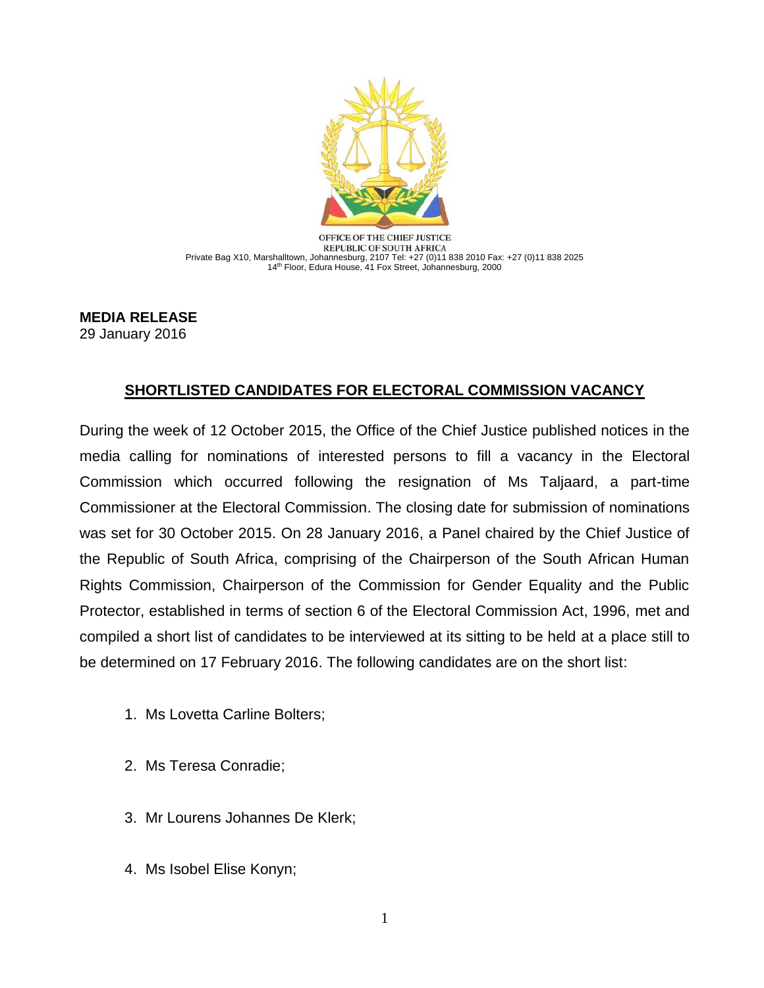

OFFICE OF THE CHIEF JUSTICE REPUBLIC OF SOUTH AFRICA Private Bag X10, Marshalltown, Johannesburg, 2107 Tel: +27 (0)11 838 2010 Fax: +27 (0)11 838 2025 14th Floor, Edura House, 41 Fox Street, Johannesburg, 2000

**MEDIA RELEASE**  29 January 2016

## **SHORTLISTED CANDIDATES FOR ELECTORAL COMMISSION VACANCY**

During the week of 12 October 2015, the Office of the Chief Justice published notices in the media calling for nominations of interested persons to fill a vacancy in the Electoral Commission which occurred following the resignation of Ms Taljaard, a part-time Commissioner at the Electoral Commission. The closing date for submission of nominations was set for 30 October 2015. On 28 January 2016, a Panel chaired by the Chief Justice of the Republic of South Africa, comprising of the Chairperson of the South African Human Rights Commission, Chairperson of the Commission for Gender Equality and the Public Protector, established in terms of section 6 of the Electoral Commission Act, 1996, met and compiled a short list of candidates to be interviewed at its sitting to be held at a place still to be determined on 17 February 2016. The following candidates are on the short list:

- 1. Ms Lovetta Carline Bolters;
- 2. Ms Teresa Conradie;
- 3. Mr Lourens Johannes De Klerk;
- 4. Ms Isobel Elise Konyn;